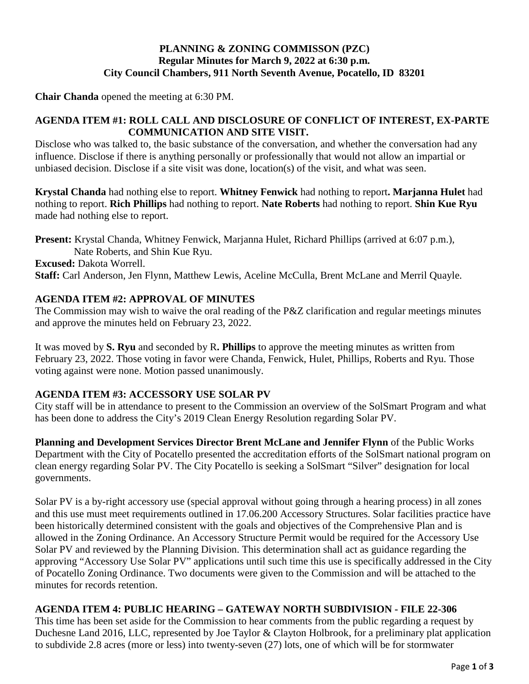# **PLANNING & ZONING COMMISSON (PZC) Regular Minutes for March 9, 2022 at 6:30 p.m. City Council Chambers, 911 North Seventh Avenue, Pocatello, ID 83201**

**Chair Chanda** opened the meeting at 6:30 PM.

# **AGENDA ITEM #1: ROLL CALL AND DISCLOSURE OF CONFLICT OF INTEREST, EX-PARTE COMMUNICATION AND SITE VISIT.**

Disclose who was talked to, the basic substance of the conversation, and whether the conversation had any influence. Disclose if there is anything personally or professionally that would not allow an impartial or unbiased decision. Disclose if a site visit was done, location(s) of the visit, and what was seen.

**Krystal Chanda** had nothing else to report. **Whitney Fenwick** had nothing to report**. Marjanna Hulet** had nothing to report. **Rich Phillips** had nothing to report. **Nate Roberts** had nothing to report. **Shin Kue Ryu**  made had nothing else to report.

**Present:** Krystal Chanda, Whitney Fenwick, Marjanna Hulet, Richard Phillips (arrived at 6:07 p.m.), Nate Roberts, and Shin Kue Ryu. **Excused:** Dakota Worrell. **Staff:** Carl Anderson, Jen Flynn, Matthew Lewis, Aceline McCulla, Brent McLane and Merril Quayle.

# **AGENDA ITEM #2: APPROVAL OF MINUTES**

The Commission may wish to waive the oral reading of the P&Z clarification and regular meetings minutes and approve the minutes held on February 23, 2022.

It was moved by **S. Ryu** and seconded by R**. Phillips** to approve the meeting minutes as written from February 23, 2022. Those voting in favor were Chanda, Fenwick, Hulet, Phillips, Roberts and Ryu. Those voting against were none. Motion passed unanimously.

# **AGENDA ITEM #3: ACCESSORY USE SOLAR PV**

City staff will be in attendance to present to the Commission an overview of the SolSmart Program and what has been done to address the City's 2019 Clean Energy Resolution regarding Solar PV.

**Planning and Development Services Director Brent McLane and Jennifer Flynn** of the Public Works Department with the City of Pocatello presented the accreditation efforts of the SolSmart national program on clean energy regarding Solar PV. The City Pocatello is seeking a SolSmart "Silver" designation for local governments.

Solar PV is a by-right accessory use (special approval without going through a hearing process) in all zones and this use must meet requirements outlined in 17.06.200 Accessory Structures. Solar facilities practice have been historically determined consistent with the goals and objectives of the Comprehensive Plan and is allowed in the Zoning Ordinance. An Accessory Structure Permit would be required for the Accessory Use Solar PV and reviewed by the Planning Division. This determination shall act as guidance regarding the approving "Accessory Use Solar PV" applications until such time this use is specifically addressed in the City of Pocatello Zoning Ordinance. Two documents were given to the Commission and will be attached to the minutes for records retention.

### **AGENDA ITEM 4: PUBLIC HEARING – GATEWAY NORTH SUBDIVISION - FILE 22-306**

This time has been set aside for the Commission to hear comments from the public regarding a request by Duchesne Land 2016, LLC, represented by Joe Taylor & Clayton Holbrook, for a preliminary plat application to subdivide 2.8 acres (more or less) into twenty-seven (27) lots, one of which will be for stormwater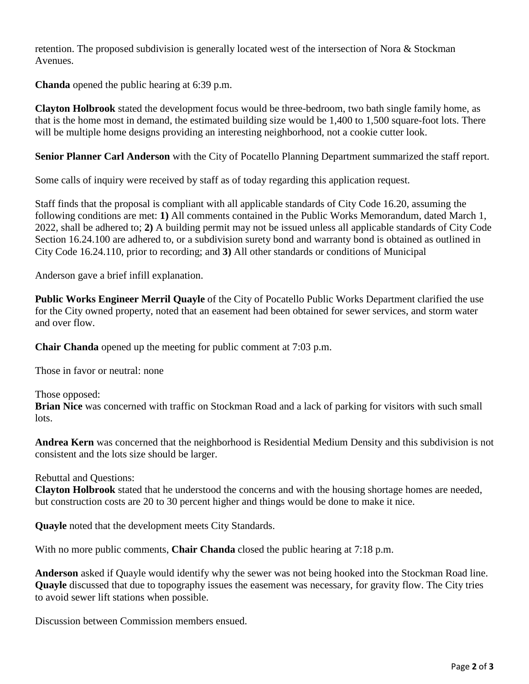retention. The proposed subdivision is generally located west of the intersection of Nora & Stockman Avenues.

**Chanda** opened the public hearing at 6:39 p.m.

**Clayton Holbrook** stated the development focus would be three-bedroom, two bath single family home, as that is the home most in demand, the estimated building size would be 1,400 to 1,500 square-foot lots. There will be multiple home designs providing an interesting neighborhood, not a cookie cutter look.

**Senior Planner Carl Anderson** with the City of Pocatello Planning Department summarized the staff report.

Some calls of inquiry were received by staff as of today regarding this application request.

Staff finds that the proposal is compliant with all applicable standards of City Code 16.20, assuming the following conditions are met: **1)** All comments contained in the Public Works Memorandum, dated March 1, 2022, shall be adhered to; **2)** A building permit may not be issued unless all applicable standards of City Code Section 16.24.100 are adhered to, or a subdivision surety bond and warranty bond is obtained as outlined in City Code 16.24.110, prior to recording; and **3)** All other standards or conditions of Municipal

Anderson gave a brief infill explanation.

**Public Works Engineer Merril Quayle** of the City of Pocatello Public Works Department clarified the use for the City owned property, noted that an easement had been obtained for sewer services, and storm water and over flow.

**Chair Chanda** opened up the meeting for public comment at 7:03 p.m.

Those in favor or neutral: none

Those opposed:

**Brian Nice** was concerned with traffic on Stockman Road and a lack of parking for visitors with such small lots.

**Andrea Kern** was concerned that the neighborhood is Residential Medium Density and this subdivision is not consistent and the lots size should be larger.

Rebuttal and Questions:

**Clayton Holbrook** stated that he understood the concerns and with the housing shortage homes are needed, but construction costs are 20 to 30 percent higher and things would be done to make it nice.

**Quayle** noted that the development meets City Standards.

With no more public comments, **Chair Chanda** closed the public hearing at 7:18 p.m.

**Anderson** asked if Quayle would identify why the sewer was not being hooked into the Stockman Road line. **Quayle** discussed that due to topography issues the easement was necessary, for gravity flow. The City tries to avoid sewer lift stations when possible.

Discussion between Commission members ensued.